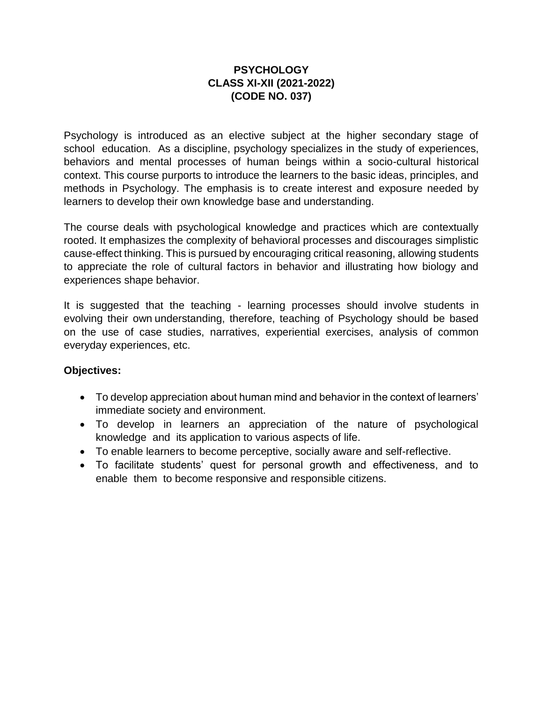## **PSYCHOLOGY CLASS XI-XII (2021-2022) (CODE NO. 037)**

Psychology is introduced as an elective subject at the higher secondary stage of school education. As a discipline, psychology specializes in the study of experiences, behaviors and mental processes of human beings within a socio-cultural historical context. This course purports to introduce the learners to the basic ideas, principles, and methods in Psychology. The emphasis is to create interest and exposure needed by learners to develop their own knowledge base and understanding.

The course deals with psychological knowledge and practices which are contextually rooted. It emphasizes the complexity of behavioral processes and discourages simplistic cause-effect thinking. This is pursued by encouraging critical reasoning, allowing students to appreciate the role of cultural factors in behavior and illustrating how biology and experiences shape behavior.

It is suggested that the teaching - learning processes should involve students in evolving their own understanding, therefore, teaching of Psychology should be based on the use of case studies, narratives, experiential exercises, analysis of common everyday experiences, etc.

#### **Objectives:**

- To develop appreciation about human mind and behavior in the context of learners' immediate society and environment.
- To develop in learners an appreciation of the nature of psychological knowledge and its application to various aspects of life.
- To enable learners to become perceptive, socially aware and self-reflective.
- To facilitate students' quest for personal growth and effectiveness, and to enable them to become responsive and responsible citizens.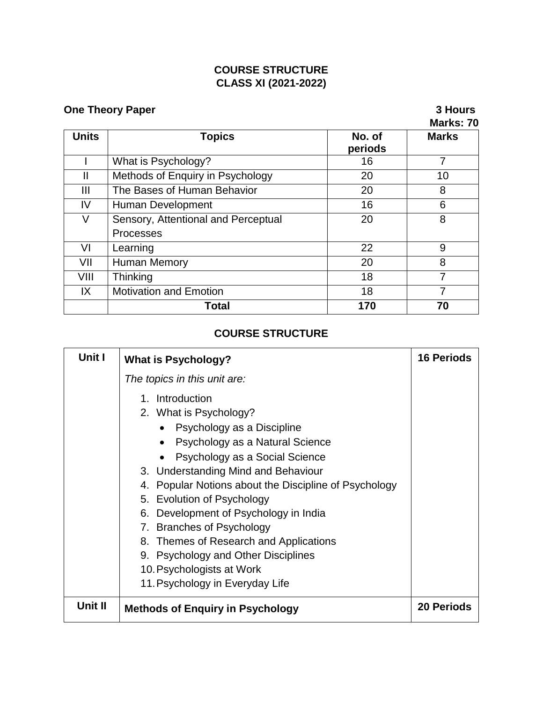## **COURSE STRUCTURE CLASS XI (2021-2022)**

# **One Theory Paper** 3 Hours

# **Marks: 70**

| <b>Units</b> | <b>Topics</b>                       | No. of<br>periods | <b>Marks</b> |
|--------------|-------------------------------------|-------------------|--------------|
|              | What is Psychology?                 | 16                |              |
| Ш            | Methods of Enquiry in Psychology    | 20                | 10           |
| Ш            | The Bases of Human Behavior         | 20                | 8            |
| IV           | Human Development                   | 16                | 6            |
| V            | Sensory, Attentional and Perceptual | 20                | 8            |
|              | Processes                           |                   |              |
| VI           | Learning                            | 22                | 9            |
| VII          | <b>Human Memory</b>                 | 20                | 8            |
| VIII         | Thinking                            | 18                | 7            |
| IX           | <b>Motivation and Emotion</b>       | 18                |              |
|              | Total                               | 170               | 70           |

# **COURSE STRUCTURE**

| Unit I  | <b>What is Psychology?</b>                                                                                                                                                                                                                                                                                                                                                                                                                                     | <b>16 Periods</b> |
|---------|----------------------------------------------------------------------------------------------------------------------------------------------------------------------------------------------------------------------------------------------------------------------------------------------------------------------------------------------------------------------------------------------------------------------------------------------------------------|-------------------|
|         | The topics in this unit are:                                                                                                                                                                                                                                                                                                                                                                                                                                   |                   |
|         | 1. Introduction<br>2. What is Psychology?<br>Psychology as a Discipline<br>$\bullet$<br>Psychology as a Natural Science<br>$\bullet$<br>Psychology as a Social Science<br>3. Understanding Mind and Behaviour<br>4. Popular Notions about the Discipline of Psychology<br>5. Evolution of Psychology<br>Development of Psychology in India<br>6.<br>7. Branches of Psychology<br>8. Themes of Research and Applications<br>9. Psychology and Other Disciplines |                   |
|         | 10. Psychologists at Work                                                                                                                                                                                                                                                                                                                                                                                                                                      |                   |
|         | 11. Psychology in Everyday Life                                                                                                                                                                                                                                                                                                                                                                                                                                |                   |
| Unit II | <b>Methods of Enquiry in Psychology</b>                                                                                                                                                                                                                                                                                                                                                                                                                        | <b>20 Periods</b> |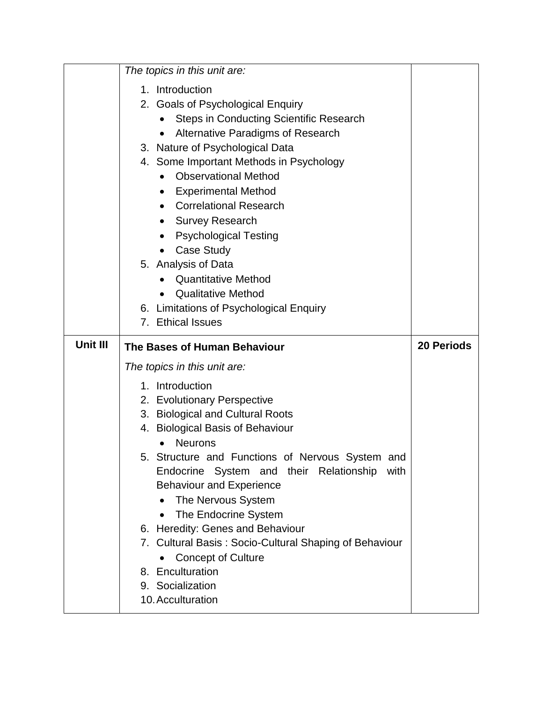|          | The topics in this unit are:                                                                                                                                                                                                                                                                                                                                                                                                                                                                                                                                                                    |                   |
|----------|-------------------------------------------------------------------------------------------------------------------------------------------------------------------------------------------------------------------------------------------------------------------------------------------------------------------------------------------------------------------------------------------------------------------------------------------------------------------------------------------------------------------------------------------------------------------------------------------------|-------------------|
|          | 1. Introduction<br>2. Goals of Psychological Enquiry<br><b>Steps in Conducting Scientific Research</b><br>Alternative Paradigms of Research<br>3. Nature of Psychological Data<br>4. Some Important Methods in Psychology<br><b>Observational Method</b><br>$\bullet$<br><b>Experimental Method</b><br>$\bullet$<br><b>Correlational Research</b><br>$\bullet$<br><b>Survey Research</b><br><b>Psychological Testing</b><br><b>Case Study</b><br>5. Analysis of Data<br><b>Quantitative Method</b><br><b>Qualitative Method</b><br>6. Limitations of Psychological Enquiry<br>7. Ethical Issues |                   |
| Unit III |                                                                                                                                                                                                                                                                                                                                                                                                                                                                                                                                                                                                 | <b>20 Periods</b> |
|          | The Bases of Human Behaviour                                                                                                                                                                                                                                                                                                                                                                                                                                                                                                                                                                    |                   |
|          | The topics in this unit are:                                                                                                                                                                                                                                                                                                                                                                                                                                                                                                                                                                    |                   |
|          | 1. Introduction                                                                                                                                                                                                                                                                                                                                                                                                                                                                                                                                                                                 |                   |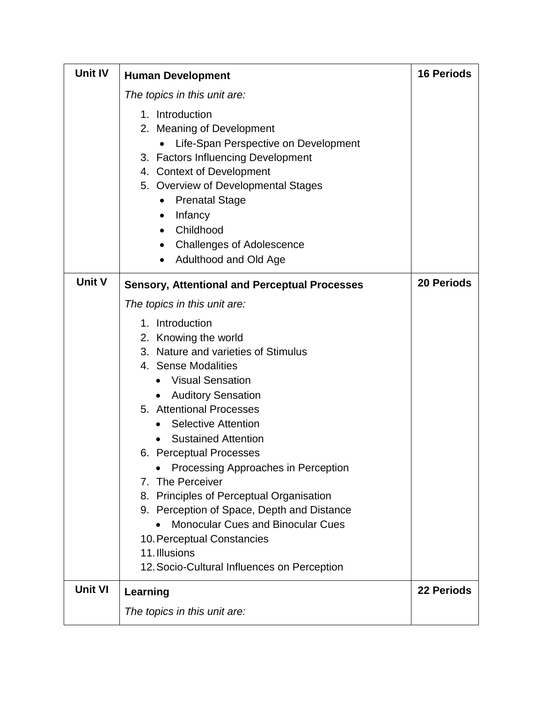| <b>Unit IV</b> | <b>Human Development</b>                                                                                                                                                                                                                                                                                                                                                                                                                                                                                                                                                           | <b>16 Periods</b> |
|----------------|------------------------------------------------------------------------------------------------------------------------------------------------------------------------------------------------------------------------------------------------------------------------------------------------------------------------------------------------------------------------------------------------------------------------------------------------------------------------------------------------------------------------------------------------------------------------------------|-------------------|
|                | The topics in this unit are:                                                                                                                                                                                                                                                                                                                                                                                                                                                                                                                                                       |                   |
|                | 1. Introduction<br>2. Meaning of Development<br>Life-Span Perspective on Development<br>3. Factors Influencing Development<br>4. Context of Development<br>5. Overview of Developmental Stages<br><b>Prenatal Stage</b><br>$\bullet$<br>Infancy<br>Childhood<br><b>Challenges of Adolescence</b><br>Adulthood and Old Age                                                                                                                                                                                                                                                          |                   |
| <b>Unit V</b>  | <b>Sensory, Attentional and Perceptual Processes</b>                                                                                                                                                                                                                                                                                                                                                                                                                                                                                                                               | <b>20 Periods</b> |
|                | The topics in this unit are:                                                                                                                                                                                                                                                                                                                                                                                                                                                                                                                                                       |                   |
|                | 1. Introduction<br>2. Knowing the world<br>3. Nature and varieties of Stimulus<br>4. Sense Modalities<br><b>Visual Sensation</b><br><b>Auditory Sensation</b><br>5. Attentional Processes<br><b>Selective Attention</b><br><b>Sustained Attention</b><br>6. Perceptual Processes<br>Processing Approaches in Perception<br>7. The Perceiver<br>Principles of Perceptual Organisation<br>8.<br>9. Perception of Space, Depth and Distance<br><b>Monocular Cues and Binocular Cues</b><br>10. Perceptual Constancies<br>11. Illusions<br>12. Socio-Cultural Influences on Perception |                   |
| <b>Unit VI</b> | Learning                                                                                                                                                                                                                                                                                                                                                                                                                                                                                                                                                                           | <b>22 Periods</b> |
|                | The topics in this unit are:                                                                                                                                                                                                                                                                                                                                                                                                                                                                                                                                                       |                   |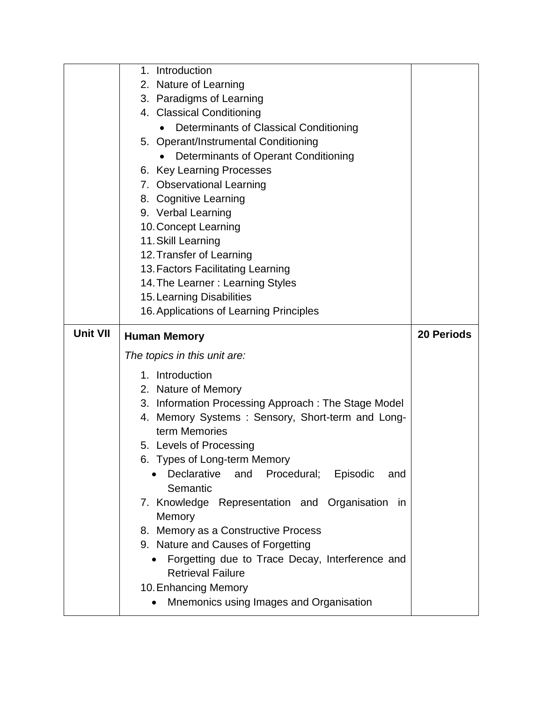|                 | Introduction<br>1.                                                          |                   |
|-----------------|-----------------------------------------------------------------------------|-------------------|
|                 | 2. Nature of Learning                                                       |                   |
|                 | 3. Paradigms of Learning                                                    |                   |
|                 | 4. Classical Conditioning                                                   |                   |
|                 | Determinants of Classical Conditioning                                      |                   |
|                 | 5. Operant/Instrumental Conditioning                                        |                   |
|                 | Determinants of Operant Conditioning                                        |                   |
|                 | 6. Key Learning Processes                                                   |                   |
|                 | 7. Observational Learning                                                   |                   |
|                 | 8. Cognitive Learning                                                       |                   |
|                 | 9. Verbal Learning                                                          |                   |
|                 | 10. Concept Learning                                                        |                   |
|                 | 11. Skill Learning                                                          |                   |
|                 | 12. Transfer of Learning                                                    |                   |
|                 | 13. Factors Facilitating Learning                                           |                   |
|                 | 14. The Learner: Learning Styles                                            |                   |
|                 | 15. Learning Disabilities                                                   |                   |
|                 | 16. Applications of Learning Principles                                     |                   |
| <b>Unit VII</b> | <b>Human Memory</b>                                                         | <b>20 Periods</b> |
|                 |                                                                             |                   |
|                 |                                                                             |                   |
|                 | The topics in this unit are:                                                |                   |
|                 | 1. Introduction                                                             |                   |
|                 | 2. Nature of Memory                                                         |                   |
|                 | 3. Information Processing Approach: The Stage Model                         |                   |
|                 | 4. Memory Systems: Sensory, Short-term and Long-                            |                   |
|                 | term Memories                                                               |                   |
|                 | 5. Levels of Processing                                                     |                   |
|                 | Types of Long-term Memory<br>რ.                                             |                   |
|                 | Declarative<br>and<br>Procedural;<br>Episodic<br>and                        |                   |
|                 | Semantic                                                                    |                   |
|                 | 7. Knowledge Representation and Organisation<br>in                          |                   |
|                 | Memory                                                                      |                   |
|                 | 8. Memory as a Constructive Process                                         |                   |
|                 | 9. Nature and Causes of Forgetting                                          |                   |
|                 | Forgetting due to Trace Decay, Interference and<br><b>Retrieval Failure</b> |                   |
|                 |                                                                             |                   |
|                 | 10. Enhancing Memory<br>Mnemonics using Images and Organisation             |                   |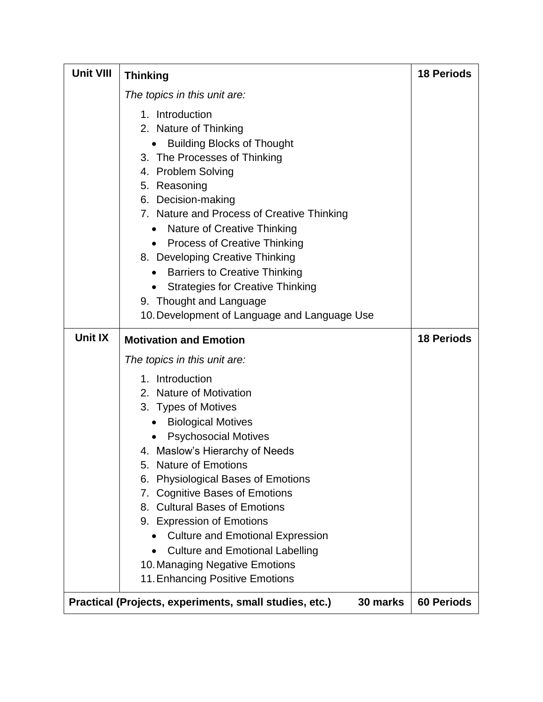| <b>Unit VIII</b> | <b>Thinking</b>                                                                                                                                                                                                                                                                                                                                                                                                                                                                                                                       | <b>18 Periods</b> |
|------------------|---------------------------------------------------------------------------------------------------------------------------------------------------------------------------------------------------------------------------------------------------------------------------------------------------------------------------------------------------------------------------------------------------------------------------------------------------------------------------------------------------------------------------------------|-------------------|
|                  | The topics in this unit are:                                                                                                                                                                                                                                                                                                                                                                                                                                                                                                          |                   |
|                  | 1. Introduction<br>2. Nature of Thinking<br><b>Building Blocks of Thought</b><br>3. The Processes of Thinking<br>4. Problem Solving<br>5. Reasoning<br>6. Decision-making<br>7. Nature and Process of Creative Thinking<br>Nature of Creative Thinking<br><b>Process of Creative Thinking</b><br>$\bullet$<br>8. Developing Creative Thinking<br><b>Barriers to Creative Thinking</b><br>$\bullet$<br><b>Strategies for Creative Thinking</b><br>$\bullet$<br>9. Thought and Language<br>10. Development of Language and Language Use |                   |
| Unit IX          | <b>Motivation and Emotion</b>                                                                                                                                                                                                                                                                                                                                                                                                                                                                                                         | <b>18 Periods</b> |
|                  | The topics in this unit are:                                                                                                                                                                                                                                                                                                                                                                                                                                                                                                          |                   |
|                  | 1. Introduction<br>2. Nature of Motivation<br>3. Types of Motives<br><b>Biological Motives</b><br>$\bullet$<br><b>Psychosocial Motives</b><br>4. Maslow's Hierarchy of Needs<br><b>Nature of Emotions</b><br>5.<br><b>Physiological Bases of Emotions</b><br>6.<br><b>Cognitive Bases of Emotions</b><br>7.<br>8. Cultural Bases of Emotions<br>9. Expression of Emotions<br><b>Culture and Emotional Expression</b><br><b>Culture and Emotional Labelling</b><br>10. Managing Negative Emotions<br>11. Enhancing Positive Emotions   |                   |
|                  | Practical (Projects, experiments, small studies, etc.)<br>30 marks                                                                                                                                                                                                                                                                                                                                                                                                                                                                    | <b>60 Periods</b> |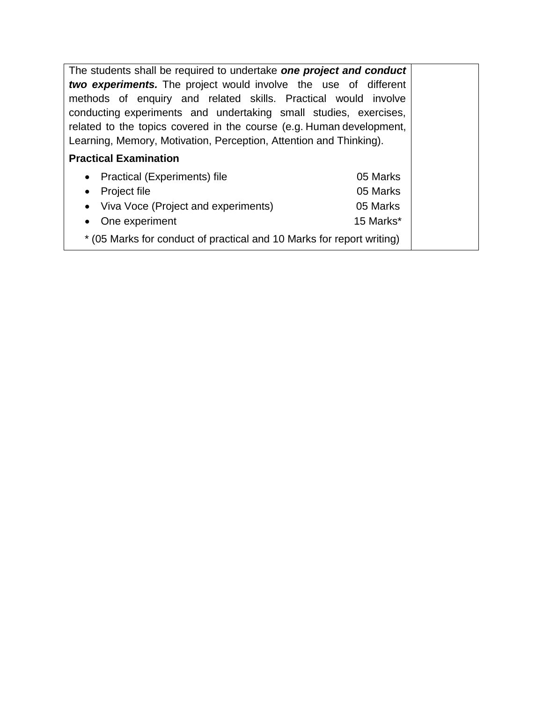The students shall be required to undertake *one project and conduct two experiments.* The project would involve the use of different methods of enquiry and related skills. Practical would involve conducting experiments and undertaking small studies, exercises, related to the topics covered in the course (e.g. Human development, Learning, Memory, Motivation, Perception, Attention and Thinking). **Practical Examination**  • Practical (Experiments) file 05 Marks

|                                                                       | $\cup$ $\cup$ $\cup$ $\cup$ |  |
|-----------------------------------------------------------------------|-----------------------------|--|
| • Project file                                                        | 05 Marks                    |  |
| • Viva Voce (Project and experiments)                                 | 05 Marks                    |  |
| • One experiment                                                      | 15 Marks*                   |  |
| * (05 Marks for conduct of practical and 10 Marks for report writing) |                             |  |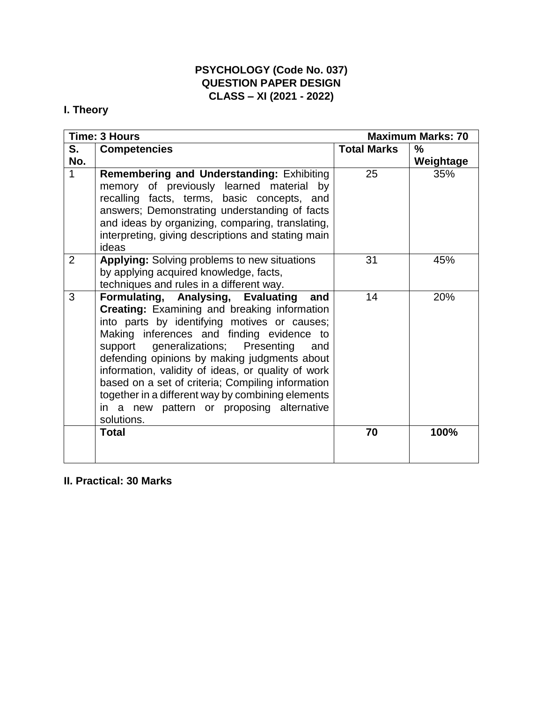## **PSYCHOLOGY (Code No. 037) QUESTION PAPER DESIGN CLASS – XI (2021 - 2022)**

# **I. Theory**

|     | <b>Time: 3 Hours</b>                                                                                                                                                                                                                                                                                                                                                                                                                                                                                                   |                    | <b>Maximum Marks: 70</b> |
|-----|------------------------------------------------------------------------------------------------------------------------------------------------------------------------------------------------------------------------------------------------------------------------------------------------------------------------------------------------------------------------------------------------------------------------------------------------------------------------------------------------------------------------|--------------------|--------------------------|
| S.  | <b>Competencies</b>                                                                                                                                                                                                                                                                                                                                                                                                                                                                                                    | <b>Total Marks</b> | %                        |
| No. |                                                                                                                                                                                                                                                                                                                                                                                                                                                                                                                        |                    | Weightage                |
| 1   | Remembering and Understanding: Exhibiting<br>memory of previously learned material by                                                                                                                                                                                                                                                                                                                                                                                                                                  | 25                 | 35%                      |
|     | recalling facts, terms, basic concepts, and                                                                                                                                                                                                                                                                                                                                                                                                                                                                            |                    |                          |
|     | answers; Demonstrating understanding of facts<br>and ideas by organizing, comparing, translating,                                                                                                                                                                                                                                                                                                                                                                                                                      |                    |                          |
|     | interpreting, giving descriptions and stating main<br>ideas                                                                                                                                                                                                                                                                                                                                                                                                                                                            |                    |                          |
| 2   | <b>Applying:</b> Solving problems to new situations<br>by applying acquired knowledge, facts,                                                                                                                                                                                                                                                                                                                                                                                                                          | 31                 | 45%                      |
|     | techniques and rules in a different way.                                                                                                                                                                                                                                                                                                                                                                                                                                                                               |                    |                          |
| 3   | Formulating, Analysing, Evaluating<br>and<br><b>Creating: Examining and breaking information</b><br>into parts by identifying motives or causes;<br>Making inferences and finding evidence to<br>support generalizations; Presenting<br>and<br>defending opinions by making judgments about<br>information, validity of ideas, or quality of work<br>based on a set of criteria; Compiling information<br>together in a different way by combining elements<br>in a new pattern or proposing alternative<br>solutions. | 14                 | 20%                      |
|     | <b>Total</b>                                                                                                                                                                                                                                                                                                                                                                                                                                                                                                           | 70                 | 100%                     |

# **II. Practical: 30 Marks**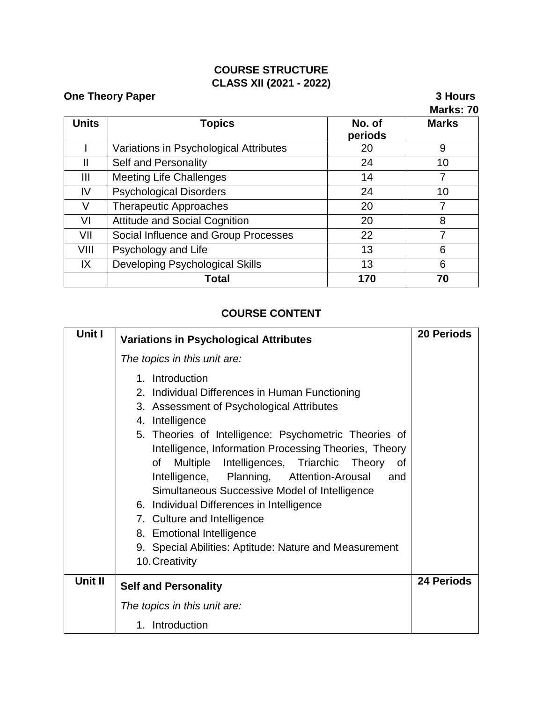# **COURSE STRUCTURE CLASS XII (2021 - 2022)**

|              | <b>One Theory Paper</b>                |                   | 3 Hours<br>Marks: 70 |
|--------------|----------------------------------------|-------------------|----------------------|
| <b>Units</b> | <b>Topics</b>                          | No. of<br>periods | <b>Marks</b>         |
|              | Variations in Psychological Attributes | 20                | 9                    |
| Ш            | Self and Personality                   | 24                | 10                   |
| Ш            | <b>Meeting Life Challenges</b>         | 14                | 7                    |
| IV           | <b>Psychological Disorders</b>         | 24                | 10                   |
| V            | <b>Therapeutic Approaches</b>          | 20                | 7                    |
| VI           | <b>Attitude and Social Cognition</b>   | 20                | 8                    |
| VII          | Social Influence and Group Processes   | 22                | 7                    |
| VIII         | Psychology and Life                    | 13                | 6                    |
| IX           | <b>Developing Psychological Skills</b> | 13                | 6                    |
|              | Total                                  | 170               | 70                   |

# **COURSE CONTENT**

| Unit I  | <b>Variations in Psychological Attributes</b>                                                                                                                                                                                                                                                                                                                                                                                                                                                                                                                                                      | <b>20 Periods</b> |
|---------|----------------------------------------------------------------------------------------------------------------------------------------------------------------------------------------------------------------------------------------------------------------------------------------------------------------------------------------------------------------------------------------------------------------------------------------------------------------------------------------------------------------------------------------------------------------------------------------------------|-------------------|
|         | The topics in this unit are:                                                                                                                                                                                                                                                                                                                                                                                                                                                                                                                                                                       |                   |
|         | 1. Introduction<br>2. Individual Differences in Human Functioning<br>3. Assessment of Psychological Attributes<br>4. Intelligence<br>5. Theories of Intelligence: Psychometric Theories of<br>Intelligence, Information Processing Theories, Theory<br>Multiple Intelligences, Triarchic Theory of<br>οf<br>Intelligence, Planning, Attention-Arousal<br>and<br>Simultaneous Successive Model of Intelligence<br>6. Individual Differences in Intelligence<br>7. Culture and Intelligence<br>8. Emotional Intelligence<br>9. Special Abilities: Aptitude: Nature and Measurement<br>10. Creativity |                   |
| Unit II | <b>Self and Personality</b>                                                                                                                                                                                                                                                                                                                                                                                                                                                                                                                                                                        | <b>24 Periods</b> |
|         | The topics in this unit are:                                                                                                                                                                                                                                                                                                                                                                                                                                                                                                                                                                       |                   |
|         | 1. Introduction                                                                                                                                                                                                                                                                                                                                                                                                                                                                                                                                                                                    |                   |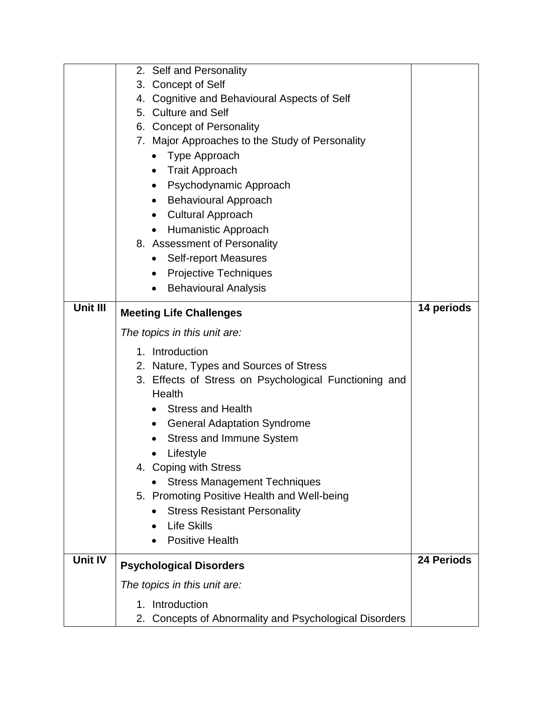|                 | 2. Self and Personality                                                      |                   |
|-----------------|------------------------------------------------------------------------------|-------------------|
|                 | 3. Concept of Self                                                           |                   |
|                 | 4. Cognitive and Behavioural Aspects of Self                                 |                   |
|                 | 5. Culture and Self                                                          |                   |
|                 | 6. Concept of Personality                                                    |                   |
|                 | 7. Major Approaches to the Study of Personality                              |                   |
|                 | Type Approach                                                                |                   |
|                 | <b>Trait Approach</b><br>$\bullet$                                           |                   |
|                 | Psychodynamic Approach<br>$\bullet$                                          |                   |
|                 | <b>Behavioural Approach</b><br>$\bullet$                                     |                   |
|                 | <b>Cultural Approach</b>                                                     |                   |
|                 | Humanistic Approach                                                          |                   |
|                 | 8. Assessment of Personality                                                 |                   |
|                 | <b>Self-report Measures</b><br>$\bullet$                                     |                   |
|                 | <b>Projective Techniques</b><br>$\bullet$                                    |                   |
|                 | <b>Behavioural Analysis</b>                                                  |                   |
| <b>Unit III</b> |                                                                              | 14 periods        |
|                 | <b>Meeting Life Challenges</b>                                               |                   |
|                 | The topics in this unit are:                                                 |                   |
|                 | 1. Introduction                                                              |                   |
|                 | 2. Nature, Types and Sources of Stress                                       |                   |
|                 | 3. Effects of Stress on Psychological Functioning and                        |                   |
|                 | Health                                                                       |                   |
|                 |                                                                              |                   |
|                 | <b>Stress and Health</b>                                                     |                   |
|                 | <b>General Adaptation Syndrome</b><br>$\bullet$                              |                   |
|                 | <b>Stress and Immune System</b>                                              |                   |
|                 | Lifestyle                                                                    |                   |
|                 | 4. Coping with Stress                                                        |                   |
|                 | <b>Stress Management Techniques</b>                                          |                   |
|                 | 5. Promoting Positive Health and Well-being                                  |                   |
|                 | <b>Stress Resistant Personality</b>                                          |                   |
|                 | <b>Life Skills</b>                                                           |                   |
|                 | <b>Positive Health</b>                                                       |                   |
| <b>Unit IV</b>  |                                                                              | <b>24 Periods</b> |
|                 | <b>Psychological Disorders</b>                                               |                   |
|                 | The topics in this unit are:                                                 |                   |
|                 | Introduction<br>1.<br>2. Concepts of Abnormality and Psychological Disorders |                   |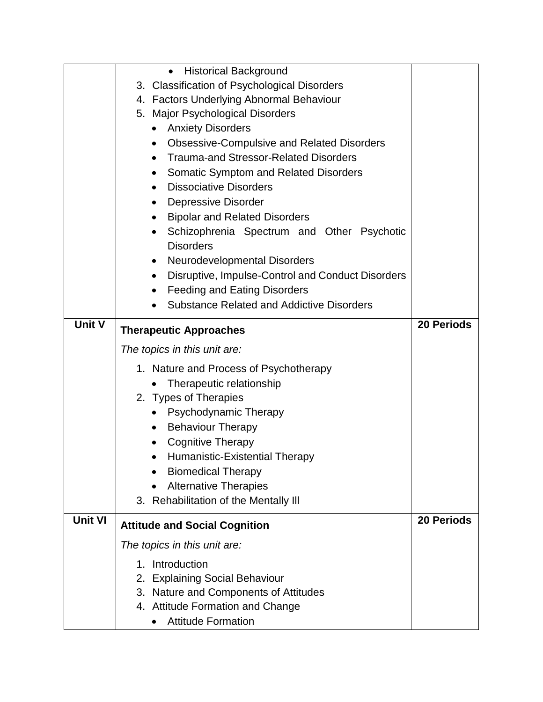|                | <b>Historical Background</b><br>$\bullet$                      |                   |
|----------------|----------------------------------------------------------------|-------------------|
|                | 3. Classification of Psychological Disorders                   |                   |
|                | 4. Factors Underlying Abnormal Behaviour                       |                   |
|                | 5. Major Psychological Disorders                               |                   |
|                | <b>Anxiety Disorders</b><br>$\bullet$                          |                   |
|                | <b>Obsessive-Compulsive and Related Disorders</b><br>$\bullet$ |                   |
|                | <b>Trauma-and Stressor-Related Disorders</b><br>$\bullet$      |                   |
|                | <b>Somatic Symptom and Related Disorders</b><br>$\bullet$      |                   |
|                | <b>Dissociative Disorders</b><br>$\bullet$                     |                   |
|                | <b>Depressive Disorder</b><br>٠                                |                   |
|                | <b>Bipolar and Related Disorders</b><br>$\bullet$              |                   |
|                | Schizophrenia Spectrum and Other Psychotic<br>$\bullet$        |                   |
|                | <b>Disorders</b>                                               |                   |
|                | Neurodevelopmental Disorders<br>$\bullet$                      |                   |
|                | Disruptive, Impulse-Control and Conduct Disorders<br>$\bullet$ |                   |
|                | <b>Feeding and Eating Disorders</b>                            |                   |
|                | <b>Substance Related and Addictive Disorders</b>               |                   |
| <b>Unit V</b>  |                                                                | <b>20 Periods</b> |
|                | <b>Therapeutic Approaches</b>                                  |                   |
|                | The topics in this unit are:                                   |                   |
|                |                                                                |                   |
|                | 1. Nature and Process of Psychotherapy                         |                   |
|                | Therapeutic relationship                                       |                   |
|                | 2. Types of Therapies                                          |                   |
|                | Psychodynamic Therapy<br>$\bullet$                             |                   |
|                | <b>Behaviour Therapy</b><br>$\bullet$                          |                   |
|                | <b>Cognitive Therapy</b>                                       |                   |
|                | Humanistic-Existential Therapy                                 |                   |
|                | <b>Biomedical Therapy</b>                                      |                   |
|                | <b>Alternative Therapies</b><br>$\bullet$                      |                   |
|                | 3. Rehabilitation of the Mentally III                          |                   |
| <b>Unit VI</b> |                                                                | <b>20 Periods</b> |
|                | <b>Attitude and Social Cognition</b>                           |                   |
|                | The topics in this unit are:                                   |                   |
|                | Introduction<br>1.                                             |                   |
|                | <b>Explaining Social Behaviour</b><br>2.                       |                   |
|                | 3. Nature and Components of Attitudes                          |                   |
|                | 4. Attitude Formation and Change                               |                   |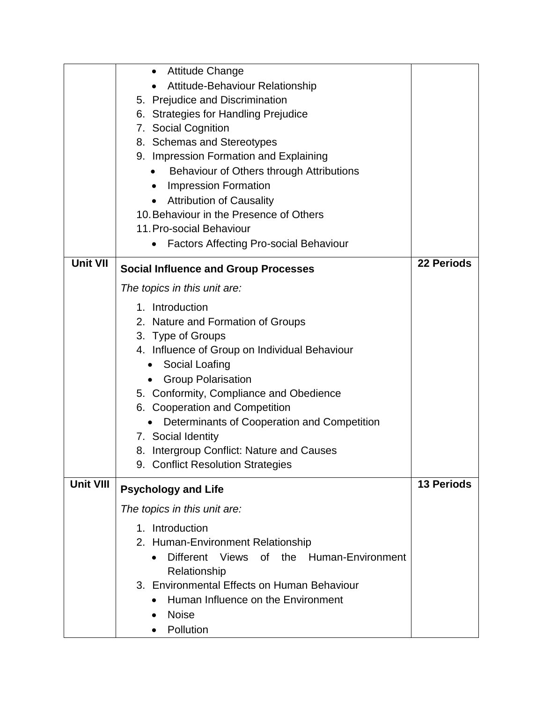|                  | <b>Attitude Change</b><br>$\bullet$                      |                   |
|------------------|----------------------------------------------------------|-------------------|
|                  | Attitude-Behaviour Relationship                          |                   |
|                  | 5. Prejudice and Discrimination                          |                   |
|                  | 6. Strategies for Handling Prejudice                     |                   |
|                  | 7. Social Cognition                                      |                   |
|                  | 8. Schemas and Stereotypes                               |                   |
|                  | 9. Impression Formation and Explaining                   |                   |
|                  | Behaviour of Others through Attributions                 |                   |
|                  | <b>Impression Formation</b><br>$\bullet$                 |                   |
|                  | <b>Attribution of Causality</b><br>$\bullet$             |                   |
|                  | 10. Behaviour in the Presence of Others                  |                   |
|                  | 11. Pro-social Behaviour                                 |                   |
|                  | <b>Factors Affecting Pro-social Behaviour</b>            |                   |
|                  |                                                          |                   |
| <b>Unit VII</b>  | <b>Social Influence and Group Processes</b>              | <b>22 Periods</b> |
|                  | The topics in this unit are:                             |                   |
|                  | 1. Introduction                                          |                   |
|                  | 2. Nature and Formation of Groups                        |                   |
|                  | 3. Type of Groups                                        |                   |
|                  | 4. Influence of Group on Individual Behaviour            |                   |
|                  | Social Loafing<br>$\bullet$                              |                   |
|                  | <b>Group Polarisation</b>                                |                   |
|                  | 5. Conformity, Compliance and Obedience                  |                   |
|                  | 6. Cooperation and Competition                           |                   |
|                  | Determinants of Cooperation and Competition<br>$\bullet$ |                   |
|                  | 7. Social Identity                                       |                   |
|                  | 8. Intergroup Conflict: Nature and Causes                |                   |
|                  | 9. Conflict Resolution Strategies                        |                   |
| <b>Unit VIII</b> |                                                          | <b>13 Periods</b> |
|                  | <b>Psychology and Life</b>                               |                   |
|                  | The topics in this unit are:                             |                   |
|                  | 1. Introduction                                          |                   |
|                  | 2. Human-Environment Relationship                        |                   |
|                  | of the Human-Environment<br>Different Views              |                   |
|                  | Relationship                                             |                   |
|                  | 3. Environmental Effects on Human Behaviour              |                   |
|                  | Human Influence on the Environment                       |                   |
|                  | <b>Noise</b>                                             |                   |
|                  | Pollution                                                |                   |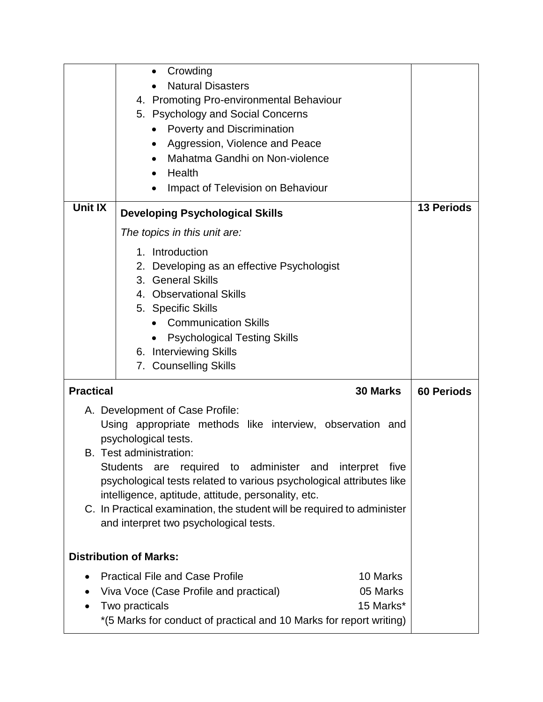|                                                                                                                                                                                                                                                                                                                                                                                                                     | Crowding<br>$\bullet$<br><b>Natural Disasters</b><br>4. Promoting Pro-environmental Behaviour<br>5. Psychology and Social Concerns<br><b>Poverty and Discrimination</b><br>$\bullet$<br>Aggression, Violence and Peace<br>٠<br>Mahatma Gandhi on Non-violence<br>Health<br>Impact of Television on Behaviour |                   |
|---------------------------------------------------------------------------------------------------------------------------------------------------------------------------------------------------------------------------------------------------------------------------------------------------------------------------------------------------------------------------------------------------------------------|--------------------------------------------------------------------------------------------------------------------------------------------------------------------------------------------------------------------------------------------------------------------------------------------------------------|-------------------|
| <b>Unit IX</b>                                                                                                                                                                                                                                                                                                                                                                                                      | <b>Developing Psychological Skills</b>                                                                                                                                                                                                                                                                       |                   |
|                                                                                                                                                                                                                                                                                                                                                                                                                     | The topics in this unit are:                                                                                                                                                                                                                                                                                 |                   |
|                                                                                                                                                                                                                                                                                                                                                                                                                     | 1. Introduction<br>2. Developing as an effective Psychologist<br>3. General Skills<br>4. Observational Skills<br>5. Specific Skills<br><b>Communication Skills</b><br><b>Psychological Testing Skills</b><br>6. Interviewing Skills<br>7. Counselling Skills                                                 |                   |
| <b>Practical</b><br>30 Marks                                                                                                                                                                                                                                                                                                                                                                                        |                                                                                                                                                                                                                                                                                                              | <b>60 Periods</b> |
| A. Development of Case Profile:<br>Using appropriate methods like interview, observation and<br>psychological tests.<br>B. Test administration:<br>Students are<br>psychological tests related to various psychological attributes like<br>intelligence, aptitude, attitude, personality, etc.<br>C. In Practical examination, the student will be required to administer<br>and interpret two psychological tests. |                                                                                                                                                                                                                                                                                                              |                   |
| <b>Distribution of Marks:</b>                                                                                                                                                                                                                                                                                                                                                                                       |                                                                                                                                                                                                                                                                                                              |                   |
| <b>Practical File and Case Profile</b><br>Viva Voce (Case Profile and practical)<br>Two practicals<br>*(5 Marks for conduct of practical and 10 Marks for report writing)                                                                                                                                                                                                                                           |                                                                                                                                                                                                                                                                                                              |                   |